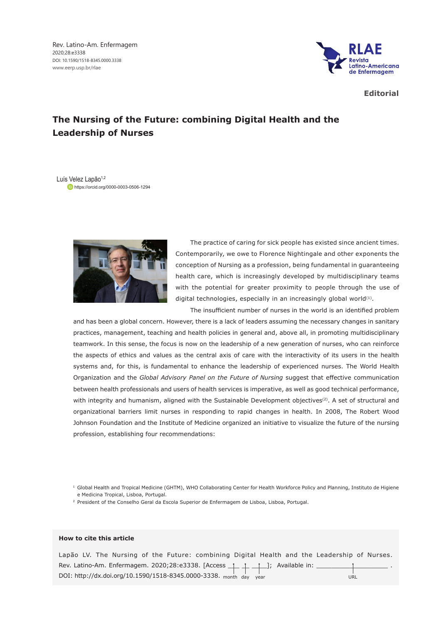Rev. Latino-Am. Enfermagem 2020;28:e3338 DOI: 10.1590/1518-8345.0000.3338 www.eerp.usp.br/rlae



**Editorial**

## **The Nursing of the Future: combining Digital Health and the Leadership of Nurses**

Luís Velez Lapão<sup>1,2</sup> https://orcid.org/0000-0003-0506-1294



The practice of caring for sick people has existed since ancient times. Contemporarily, we owe to Florence Nightingale and other exponents the conception of Nursing as a profession, being fundamental in guaranteeing health care, which is increasingly developed by multidisciplinary teams with the potential for greater proximity to people through the use of digital technologies, especially in an increasingly global world $(1)$ .

The insufficient number of nurses in the world is an identified problem and has been a global concern. However, there is a lack of leaders assuming the necessary changes in sanitary practices, management, teaching and health policies in general and, above all, in promoting multidisciplinary teamwork. In this sense, the focus is now on the leadership of a new generation of nurses, who can reinforce the aspects of ethics and values as the central axis of care with the interactivity of its users in the health systems and, for this, is fundamental to enhance the leadership of experienced nurses. The World Health Organization and the *Global Advisory Panel on the Future of Nursing* suggest that effective communication

between health professionals and users of health services is imperative, as well as good technical performance, with integrity and humanism, aligned with the Sustainable Development objectives<sup>(2)</sup>. A set of structural and organizational barriers limit nurses in responding to rapid changes in health. In 2008, The Robert Wood Johnson Foundation and the Institute of Medicine organized an initiative to visualize the future of the nursing profession, establishing four recommendations:

<sup>1</sup> Global Health and Tropical Medicine (GHTM), WHO Collaborating Center for Health Workforce Policy and Planning, Instituto de Higiene e Medicina Tropical, Lisboa, Portugal.

<sup>2</sup> President of the Conselho Geral da Escola Superior de Enfermagem de Lisboa, Lisboa, Portugal.

## **How to cite this article**

Lapão LV. The Nursing of the Future: combining Digital Health and the Leadership of Nurses. Rev. Latino-Am. Enfermagem. 2020;28:e3338. [Access \_\_ \_ \_ \_ \_ \_ \_]; Available in: DOI: http://dx.doi.org/10.1590/1518-8345.0000-3338. month day year URL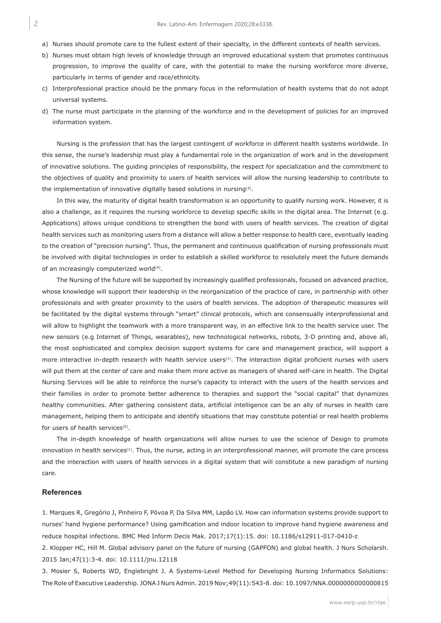- a) Nurses should promote care to the fullest extent of their specialty, in the different contexts of health services.
- b) Nurses must obtain high levels of knowledge through an improved educational system that promotes continuous progression, to improve the quality of care, with the potential to make the nursing workforce more diverse, particularly in terms of gender and race/ethnicity.
- c) Interprofessional practice should be the primary focus in the reformulation of health systems that do not adopt universal systems.
- d) The nurse must participate in the planning of the workforce and in the development of policies for an improved information system.

Nursing is the profession that has the largest contingent of workforce in different health systems worldwide. In this sense, the nurse's leadership must play a fundamental role in the organization of work and in the development of innovative solutions. The guiding principles of responsibility, the respect for specialization and the commitment to the objectives of quality and proximity to users of health services will allow the nursing leadership to contribute to the implementation of innovative digitally based solutions in nursing(3).

In this way, the maturity of digital health transformation is an opportunity to qualify nursing work. However, it is also a challenge, as it requires the nursing workforce to develop specific skills in the digital area. The Internet (e.g. Applications) allows unique conditions to strengthen the bond with users of health services. The creation of digital health services such as monitoring users from a distance will allow a better response to health care, eventually leading to the creation of "precision nursing". Thus, the permanent and continuous qualification of nursing professionals must be involved with digital technologies in order to establish a skilled workforce to resolutely meet the future demands of an increasingly computerized world<sup>(4)</sup>.

The Nursing of the future will be supported by increasingly qualified professionals, focused on advanced practice, whose knowledge will support their leadership in the reorganization of the practice of care, in partnership with other professionals and with greater proximity to the users of health services. The adoption of therapeutic measures will be facilitated by the digital systems through "smart" clinical protocols, which are consensually interprofessional and will allow to highlight the teamwork with a more transparent way, in an effective link to the health service user. The new sensors (e.g Internet of Things, wearables), new technological networks, robots*,* 3-D printing and, above all, the most sophisticated and complex decision support systems for care and management practice, will support a more interactive in-depth research with health service users<sup>(1)</sup>. The interaction digital proficient nurses with users will put them at the center of care and make them more active as managers of shared self-care in health. The Digital Nursing Services will be able to reinforce the nurse's capacity to interact with the users of the health services and their families in order to promote better adherence to therapies and support the "social capital" that dynamizes healthy communities. After gathering consistent data, artificial intelligence can be an ally of nurses in health care management, helping them to anticipate and identify situations that may constitute potential or real health problems for users of health services<sup>(5)</sup>.

The in-depth knowledge of health organizations will allow nurses to use the science of Design to promote innovation in health services<sup>(1)</sup>. Thus, the nurse, acting in an interprofessional manner, will promote the care process and the interaction with users of health services in a digital system that will constitute a new paradigm of nursing care.

## **References**

1. Marques R, Gregório J, Pinheiro F, Póvoa P, Da Silva MM, Lapão LV. How can information systems provide support to nurses' hand hygiene performance? Using gamification and indoor location to improve hand hygiene awareness and reduce hospital infections. BMC Med Inform Decis Mak. 2017;17(1):15. doi: 10.1186/s12911-017-0410-z

2. Klopper HC, Hill M. Global advisory panel on the future of nursing (GAPFON) and global health. J Nurs Scholarsh. 2015 Jan;47(1):3-4. doi: 10.1111/jnu.12118

3. Mosier S, Roberts WD, Englebright J. A Systems-Level Method for Developing Nursing Informatics Solutions: The Role of Executive Leadership. JONA J Nurs Admin. 2019 Nov;49(11):543-8. doi: 10.1097/NNA.0000000000000815